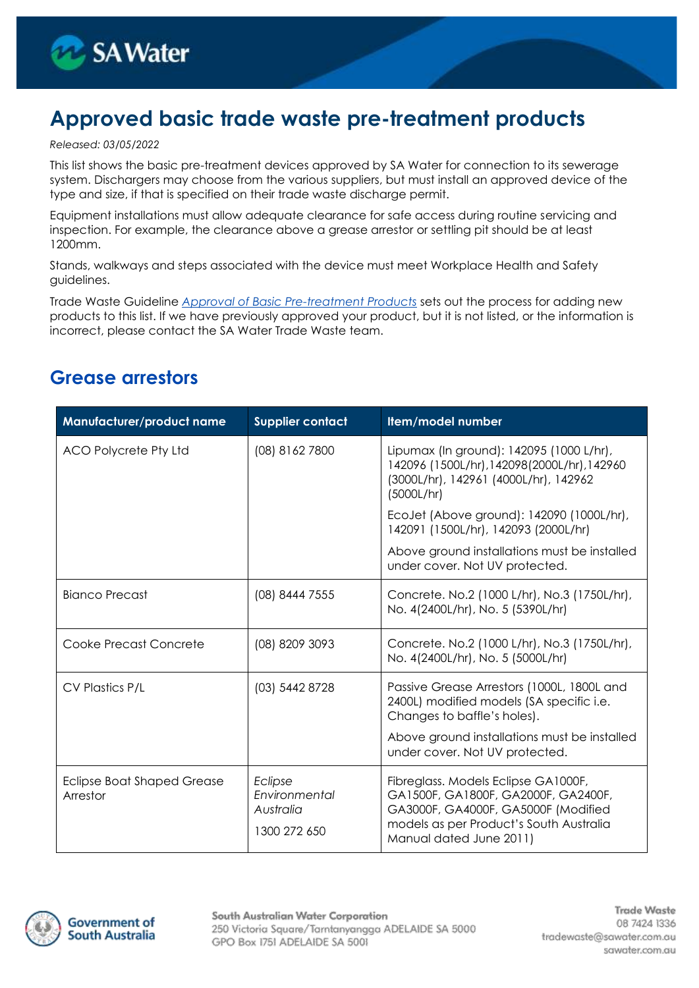

# **Approved basic trade waste pre-treatment products**

#### *Released: 03/05/2022*

This list shows the basic pre-treatment devices approved by SA Water for connection to its sewerage system. Dischargers may choose from the various suppliers, but must install an approved device of the type and size, if that is specified on their trade waste discharge permit.

Equipment installations must allow adequate clearance for safe access during routine servicing and inspection. For example, the clearance above a grease arrestor or settling pit should be at least 1200mm.

Stands, walkways and steps associated with the device must meet Workplace Health and Safety guidelines.

Trade Waste Guideline *[Approval of Basic Pre-treatment Products](https://www.sawater.com.au/my-business/trade-waste/trade-waste-management/trade-waste-guidelines-and-fact-sheets)* sets out the process for adding new products to this list. If we have previously approved your product, but it is not listed, or the information is incorrect, please contact the SA Water Trade Waste team.

#### **Grease arrestors**

| Manufacturer/product name                     | <b>Supplier contact</b>                               | Item/model number                                                                                                                                                                                       |
|-----------------------------------------------|-------------------------------------------------------|---------------------------------------------------------------------------------------------------------------------------------------------------------------------------------------------------------|
| ACO Polycrete Pty Ltd                         | (08) 8162 7800                                        | Lipumax (In ground): 142095 (1000 L/hr),<br>142096 (1500L/hr), 142098 (2000L/hr), 142960<br>(3000L/hr), 142961 (4000L/hr), 142962<br>(5000L/hr)                                                         |
|                                               |                                                       | EcoJet (Above ground): 142090 (1000L/hr),<br>142091 (1500L/hr), 142093 (2000L/hr)                                                                                                                       |
|                                               |                                                       | Above ground installations must be installed<br>under cover. Not UV protected.                                                                                                                          |
| Bianco Precast                                | (08) 8444 7555                                        | Concrete. No.2 (1000 L/hr), No.3 (1750L/hr),<br>No. 4(2400L/hr), No. 5 (5390L/hr)                                                                                                                       |
| Cooke Precast Concrete                        | (08) 8209 3093                                        | Concrete. No.2 (1000 L/hr), No.3 (1750L/hr),<br>No. 4(2400L/hr), No. 5 (5000L/hr)                                                                                                                       |
| CV Plastics P/L                               | (03) 5442 8728                                        | Passive Grease Arrestors (1000L, 1800L and<br>2400L) modified models (SA specific i.e.<br>Changes to baffle's holes).<br>Above ground installations must be installed<br>under cover. Not UV protected. |
| <b>Eclipse Boat Shaped Grease</b><br>Arrestor | Eclipse<br>Environmental<br>Australia<br>1300 272 650 | Fibreglass. Models Eclipse GA1000F,<br>GA1500F, GA1800F, GA2000F, GA2400F,<br>GA3000F, GA4000F, GA5000F (Modified<br>models as per Product's South Australia<br>Manual dated June 2011)                 |

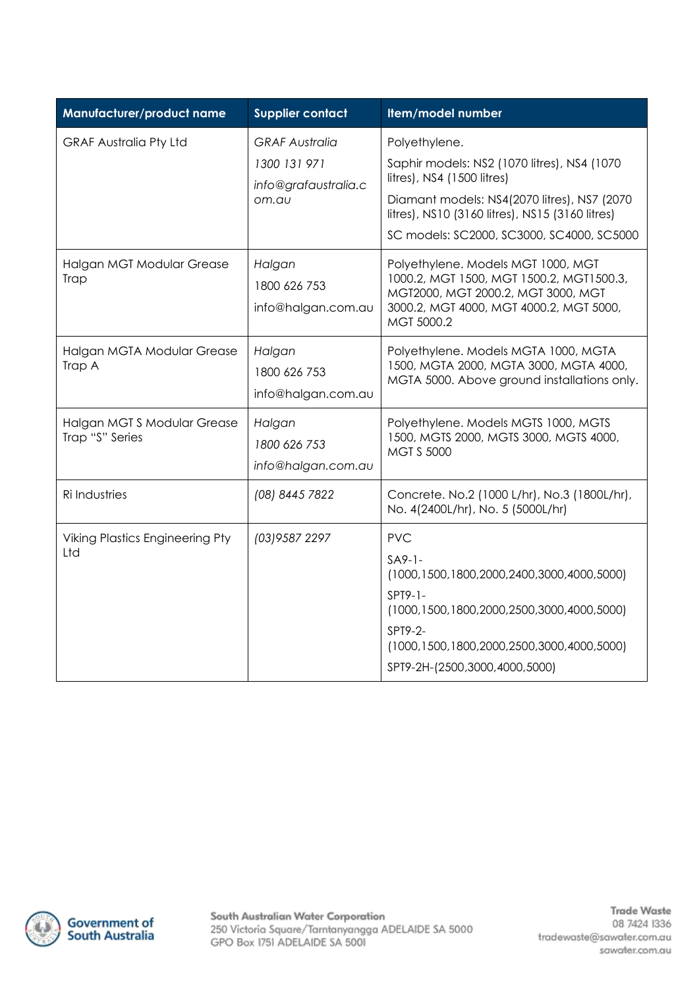| Manufacturer/product name                     | <b>Supplier contact</b>                                                | Item/model number                                                                                                                                                                                                                                |
|-----------------------------------------------|------------------------------------------------------------------------|--------------------------------------------------------------------------------------------------------------------------------------------------------------------------------------------------------------------------------------------------|
| <b>GRAF Australia Pty Ltd</b>                 | <b>GRAF Australia</b><br>1300 131 971<br>info@grafaustralia.c<br>om.au | Polyethylene.<br>Saphir models: NS2 (1070 litres), NS4 (1070<br>litres), NS4 (1500 litres)<br>Diamant models: NS4(2070 litres), NS7 (2070<br>litres), NS10 (3160 litres), NS15 (3160 litres)<br>SC models: SC2000, SC3000, SC4000, SC5000        |
| Halgan MGT Modular Grease<br>Trap             | Halgan<br>1800 626 753<br>info@halgan.com.au                           | Polyethylene. Models MGT 1000, MGT<br>1000.2, MGT 1500, MGT 1500.2, MGT1500.3,<br>MGT2000, MGT 2000.2, MGT 3000, MGT<br>3000.2, MGT 4000, MGT 4000.2, MGT 5000,<br>MGT 5000.2                                                                    |
| Halgan MGTA Modular Grease<br>Trap A          | Halgan<br>1800 626 753<br>info@halgan.com.au                           | Polyethylene. Models MGTA 1000, MGTA<br>1500, MGTA 2000, MGTA 3000, MGTA 4000,<br>MGTA 5000. Above ground installations only.                                                                                                                    |
| Halgan MGTS Modular Grease<br>Trap "S" Series | Halgan<br>1800 626 753<br>info@halgan.com.au                           | Polyethylene. Models MGTS 1000, MGTS<br>1500, MGTS 2000, MGTS 3000, MGTS 4000,<br><b>MGT S 5000</b>                                                                                                                                              |
| Ri Industries                                 | (08) 8445 7822                                                         | Concrete. No.2 (1000 L/hr), No.3 (1800L/hr),<br>No. 4(2400L/hr), No. 5 (5000L/hr)                                                                                                                                                                |
| <b>Viking Plastics Engineering Pty</b><br>Ltd | (03) 9587 2297                                                         | <b>PVC</b><br>$S_A9-1-$<br>$(1000, 1500, 1800, 2000, 2400, 3000, 4000, 5000)$<br>$SPT9-1-$<br>(1000, 1500, 1800, 2000, 2500, 3000, 4000, 5000)<br>SPT9-2-<br>$(1000, 1500, 1800, 2000, 2500, 3000, 4000, 5000)$<br>SPT9-2H-(2500,3000,4000,5000) |

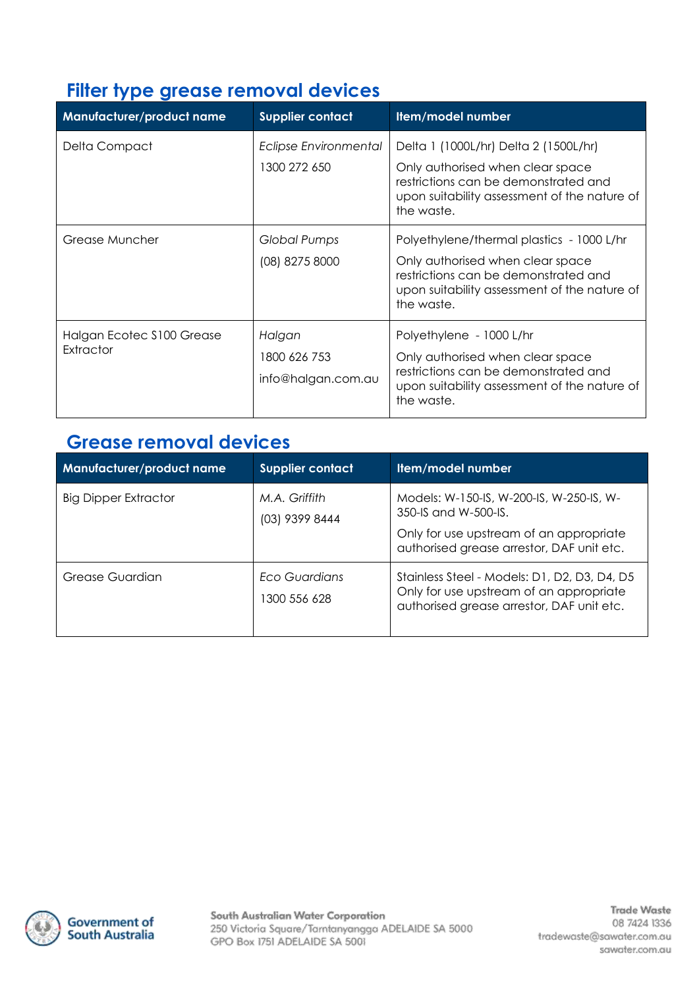## **Filter type grease removal devices**

| <b>Manufacturer/product name</b>        | <b>Supplier contact</b>                      | Item/model number                                                                                                                                                                   |
|-----------------------------------------|----------------------------------------------|-------------------------------------------------------------------------------------------------------------------------------------------------------------------------------------|
| Delta Compact                           | Eclipse Environmental<br>1300 272 650        | Delta 1 (1000L/hr) Delta 2 (1500L/hr)<br>Only authorised when clear space<br>restrictions can be demonstrated and<br>upon suitability assessment of the nature of<br>the waste.     |
| Grease Muncher                          | <b>Global Pumps</b><br>(08) 8275 8000        | Polyethylene/thermal plastics - 1000 L/hr<br>Only authorised when clear space<br>restrictions can be demonstrated and<br>upon suitability assessment of the nature of<br>the waste. |
| Halgan Ecotec \$100 Grease<br>Extractor | Halgan<br>1800 626 753<br>info@halgan.com.au | Polyethylene - 1000 L/hr<br>Only authorised when clear space<br>restrictions can be demonstrated and<br>upon suitability assessment of the nature of<br>the waste.                  |

### **Grease removal devices**

| <b>Manufacturer/product name</b> | <b>Supplier contact</b>              | Item/model number                                                                                                                                            |
|----------------------------------|--------------------------------------|--------------------------------------------------------------------------------------------------------------------------------------------------------------|
| <b>Big Dipper Extractor</b>      | M.A. Griffith<br>(03) 9399 8444      | Models: W-150-IS, W-200-IS, W-250-IS, W-<br>$350 - 15$ and W-500-15.<br>Only for use upstream of an appropriate<br>authorised grease arrestor, DAF unit etc. |
| Grease Guardian                  | <b>Fco Guardians</b><br>1300 556 628 | Stainless Steel - Models: D1, D2, D3, D4, D5<br>Only for use upstream of an appropriate<br>authorised grease arrestor, DAF unit etc.                         |

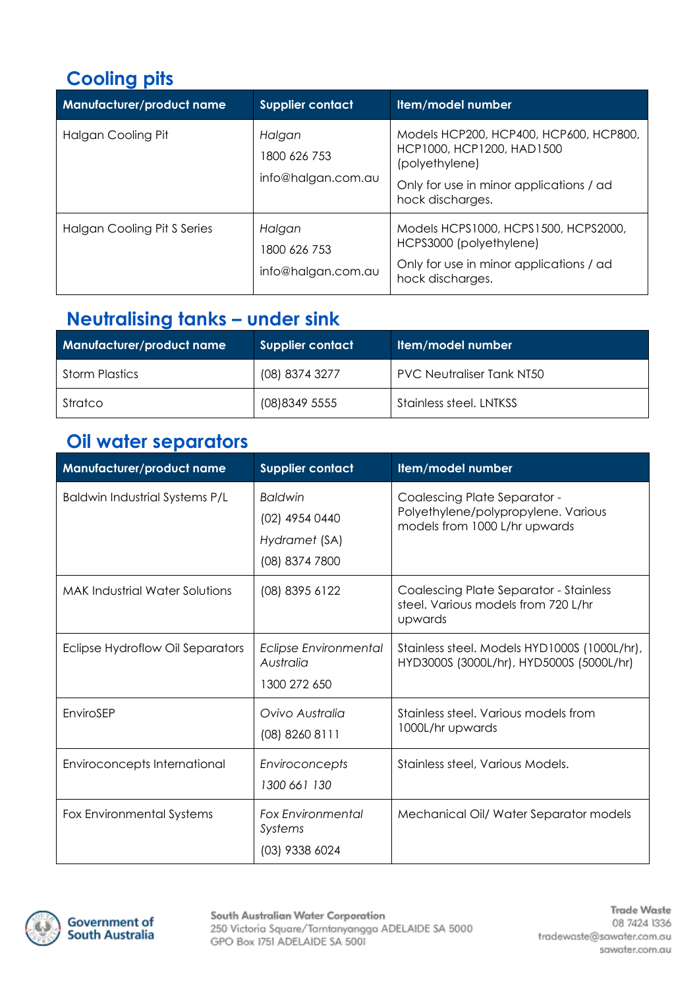# **Cooling pits**

| <b>Manufacturer/product name</b> | <b>Supplier contact</b>                      | Item/model number                                                                                                                                    |
|----------------------------------|----------------------------------------------|------------------------------------------------------------------------------------------------------------------------------------------------------|
| Halgan Cooling Pit               | Halgan<br>1800 626 753<br>info@halgan.com.au | Models HCP200, HCP400, HCP600, HCP800,<br>HCP1000, HCP1200, HAD1500<br>(polyethylene)<br>Only for use in minor applications / ad<br>hock discharges. |
| Halgan Cooling Pit S Series      | Halgan<br>1800 626 753<br>info@halgan.com.au | Models HCPS1000, HCPS1500, HCPS2000,<br>HCPS3000 (polyethylene)<br>Only for use in minor applications / ad<br>hock discharges.                       |

## **Neutralising tanks – under sink**

| <b>Manufacturer/product name</b> | Supplier contact | Item/model number                |
|----------------------------------|------------------|----------------------------------|
| <b>Storm Plastics</b>            | (08) 8374 3277   | <b>PVC Neutraliser Tank NT50</b> |
| Stratco                          | (08) 8349 5555   | Stainless steel. LNTKSS          |

## **Oil water separators**

| Manufacturer/product name             | <b>Supplier contact</b>                                             | Item/model number                                                                                    |
|---------------------------------------|---------------------------------------------------------------------|------------------------------------------------------------------------------------------------------|
| <b>Baldwin Industrial Systems P/L</b> | <b>Baldwin</b><br>(02) 4954 0440<br>Hydramet (SA)<br>(08) 8374 7800 | Coalescing Plate Separator -<br>Polyethylene/polypropylene. Various<br>models from 1000 L/hr upwards |
| <b>MAK Industrial Water Solutions</b> | (08) 8395 6122                                                      | <b>Coalescing Plate Separator - Stainless</b><br>steel. Various models from 720 L/hr<br>upwards      |
| Eclipse Hydroflow Oil Separators      | <b>Eclipse Environmental</b><br>Australia<br>1300 272 650           | Stainless steel. Models HYD1000S (1000L/hr),<br>HYD3000S (3000L/hr), HYD5000S (5000L/hr)             |
| EnviroSEP                             | Ovivo Australia<br>(08) 8260 8111                                   | Stainless steel. Various models from<br>1000L/hr upwards                                             |
| Enviroconcepts International          | Enviroconcepts<br>1300 661 130                                      | Stainless steel, Various Models.                                                                     |
| Fox Environmental Systems             | <b>Fox Environmental</b><br>Systems<br>(03) 9338 6024               | Mechanical Oil/ Water Separator models                                                               |

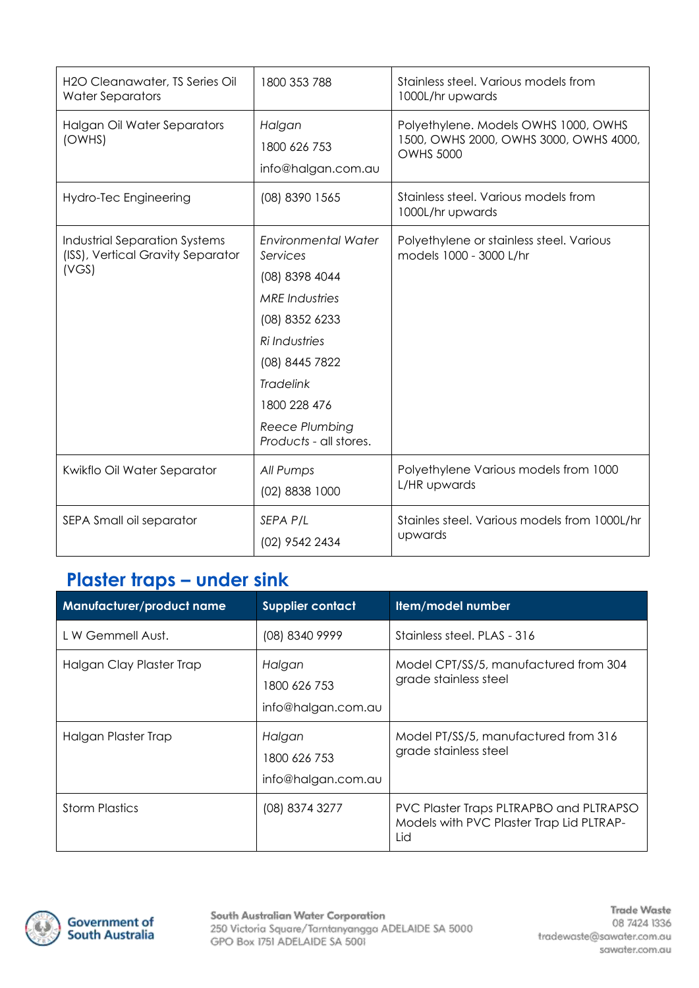| H2O Cleanawater, TS Series Oil<br><b>Water Separators</b>                          | 1800 353 788                                                                                                                                                                                                                  | Stainless steel. Various models from<br>1000L/hr upwards                                           |
|------------------------------------------------------------------------------------|-------------------------------------------------------------------------------------------------------------------------------------------------------------------------------------------------------------------------------|----------------------------------------------------------------------------------------------------|
| Halgan Oil Water Separators<br>(OWHS)                                              | Halgan<br>1800 626 753<br>info@halgan.com.au                                                                                                                                                                                  | Polyethylene. Models OWHS 1000, OWHS<br>1500, OWHS 2000, OWHS 3000, OWHS 4000,<br><b>OWHS 5000</b> |
| Hydro-Tec Engineering                                                              | (08) 8390 1565                                                                                                                                                                                                                | Stainless steel. Various models from<br>1000L/hr upwards                                           |
| <b>Industrial Separation Systems</b><br>(ISS), Vertical Gravity Separator<br>(VGS) | <b>Environmental Water</b><br>Services<br>(08) 8398 4044<br><b>MRE</b> Industries<br>(08) 8352 6233<br><b>Ri</b> Industries<br>(08) 8445 7822<br><b>Tradelink</b><br>1800 228 476<br>Reece Plumbing<br>Products - all stores. | Polyethylene or stainless steel. Various<br>models 1000 - 3000 L/hr                                |
| Kwikflo Oil Water Separator                                                        | All Pumps<br>(02) 8838 1000                                                                                                                                                                                                   | Polyethylene Various models from 1000<br>L/HR upwards                                              |
| SEPA Small oil separator                                                           | SEPA P/L<br>(02) 9542 2434                                                                                                                                                                                                    | Stainles steel. Various models from 1000L/hr<br>upwards                                            |

#### **Plaster traps – under sink**

| Manufacturer/product name | <b>Supplier contact</b>                      | Item/model number                                                                          |
|---------------------------|----------------------------------------------|--------------------------------------------------------------------------------------------|
| L W Gemmell Aust.         | (08) 8340 9999                               | Stainless steel, PLAS - 316                                                                |
| Halgan Clay Plaster Trap  | Halgan<br>1800 626 753<br>info@halgan.com.au | Model CPT/SS/5, manufactured from 304<br>grade stainless steel                             |
| Halgan Plaster Trap       | Halgan<br>1800 626 753<br>info@halgan.com.au | Model PT/SS/5, manufactured from 316<br>grade stainless steel                              |
| <b>Storm Plastics</b>     | (08) 8374 3277                               | PVC Plaster Traps PLTRAPBO and PLTRAPSO<br>Models with PVC Plaster Trap Lid PLTRAP-<br>Lid |

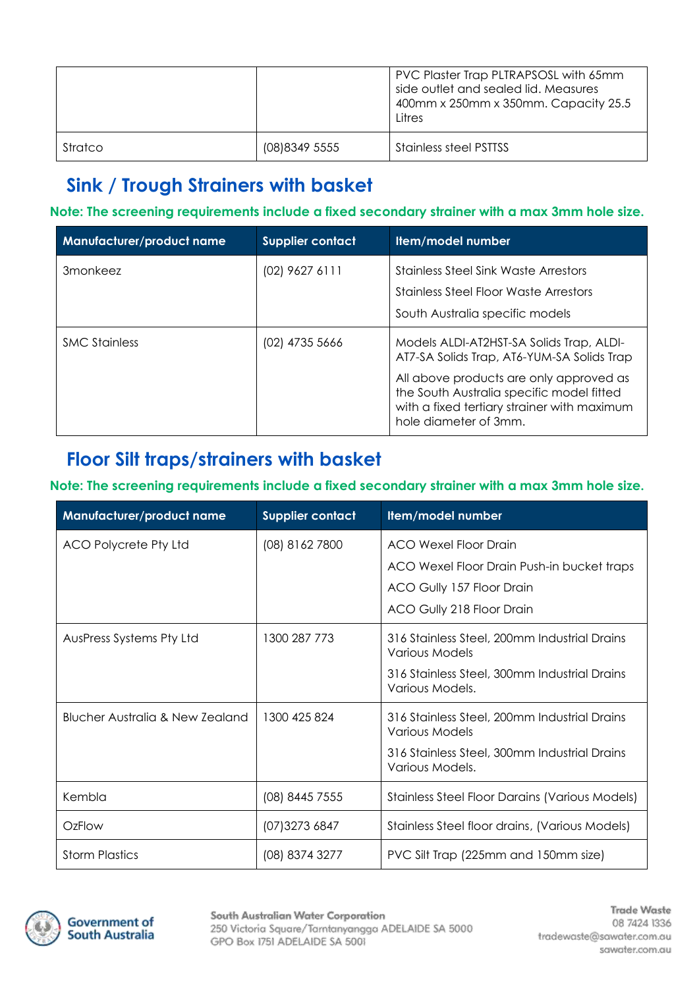|         |                | PVC Plaster Trap PLTRAPSOSL with 65mm<br>side outlet and sealed lid. Measures<br>400mm x 250mm x 350mm. Capacity 25.5<br>Litres |
|---------|----------------|---------------------------------------------------------------------------------------------------------------------------------|
| Stratco | (08) 8349 5555 | <b>Stainless steel PSTTSS</b>                                                                                                   |

## **Sink / Trough Strainers with basket**

**Note: The screening requirements include a fixed secondary strainer with a max 3mm hole size.**

| Manufacturer/product name | Supplier contact | Item/model number                                                                                                                                                                                                                                      |
|---------------------------|------------------|--------------------------------------------------------------------------------------------------------------------------------------------------------------------------------------------------------------------------------------------------------|
| 3monkeez                  | (02) 9627 6111   | <b>Stainless Steel Sink Waste Arrestors</b><br>Stainless Steel Floor Waste Arrestors<br>South Australia specific models                                                                                                                                |
| <b>SMC Stainless</b>      | (02) 4735 5666   | Models ALDI-AT2HST-SA Solids Trap, ALDI-<br>AT7-SA Solids Trap, AT6-YUM-SA Solids Trap<br>All above products are only approved as<br>the South Australia specific model fitted<br>with a fixed tertiary strainer with maximum<br>hole diameter of 3mm. |

## **Floor Silt traps/strainers with basket**

#### **Note: The screening requirements include a fixed secondary strainer with a max 3mm hole size.**

| Manufacturer/product name       | <b>Supplier contact</b> | Item/model number                                                                                                                        |
|---------------------------------|-------------------------|------------------------------------------------------------------------------------------------------------------------------------------|
| ACO Polycrete Pty Ltd           | (08) 8162 7800          | <b>ACO Wexel Floor Drain</b><br>ACO Wexel Floor Drain Push-in bucket traps<br>ACO Gully 157 Floor Drain<br>ACO Gully 218 Floor Drain     |
| AusPress Systems Pty Ltd        | 1300 287 773            | 316 Stainless Steel, 200mm Industrial Drains<br>Various Models<br>316 Stainless Steel, 300mm Industrial Drains<br>Various Models.        |
| Blucher Australia & New Zealand | 1300 425 824            | 316 Stainless Steel, 200mm Industrial Drains<br><b>Various Models</b><br>316 Stainless Steel, 300mm Industrial Drains<br>Various Models. |
| Kembla                          | (08) 8445 7555          | <b>Stainless Steel Floor Darains (Various Models)</b>                                                                                    |
| OzFlow                          | (07) 3273 6847          | Stainless Steel floor drains, (Various Models)                                                                                           |
| <b>Storm Plastics</b>           | (08) 8374 3277          | PVC Silt Trap (225mm and 150mm size)                                                                                                     |

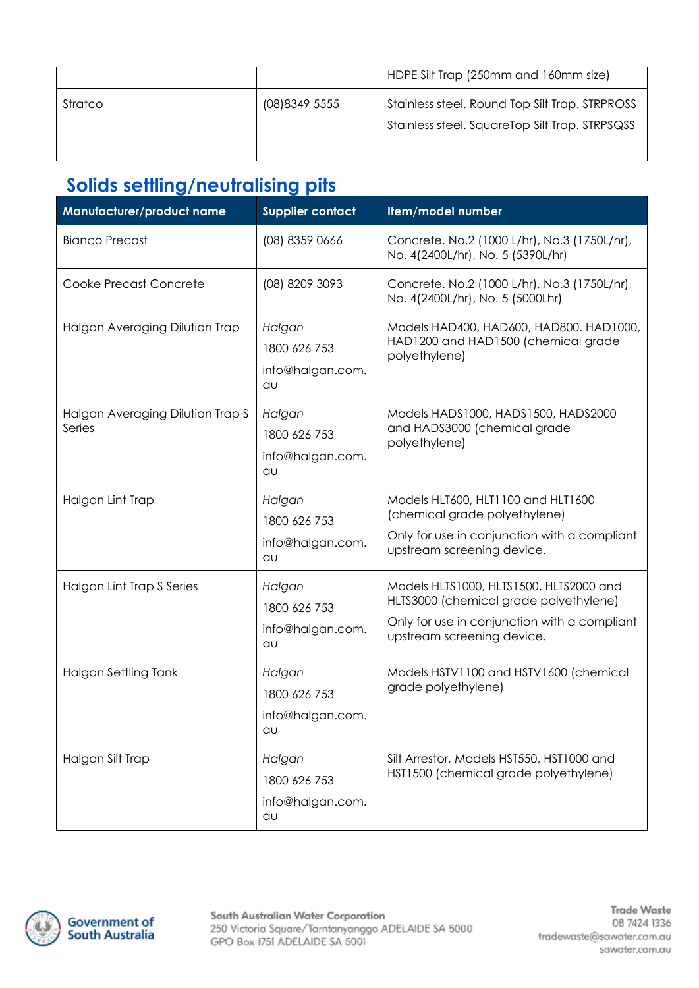|         |                | HDPE Silt Trap (250mm and 160mm size)                                                            |
|---------|----------------|--------------------------------------------------------------------------------------------------|
| Stratco | (08) 8349 5555 | Stainless steel. Round Top Silt Trap. STRPROSS<br>Stainless steel. SquareTop Silt Trap. STRPSQSS |

## **Solids settling/neutralising pits**

| Manufacturer/product name                  | <b>Supplier contact</b>                          | Item/model number                                                                                                                                               |
|--------------------------------------------|--------------------------------------------------|-----------------------------------------------------------------------------------------------------------------------------------------------------------------|
| <b>Bianco Precast</b>                      | (08) 8359 0666                                   | Concrete. No.2 (1000 L/hr), No.3 (1750L/hr),<br>No. 4(2400L/hr), No. 5 (5390L/hr)                                                                               |
| Cooke Precast Concrete                     | (08) 8209 3093                                   | Concrete. No.2 (1000 L/hr), No.3 (1750L/hr),<br>No. 4(2400L/hr), No. 5 (5000Lhr)                                                                                |
| Halgan Averaging Dilution Trap             | Halgan<br>1800 626 753<br>info@halgan.com.<br>au | Models HAD400, HAD600, HAD800. HAD1000,<br>HAD1200 and HAD1500 (chemical grade<br>polyethylene)                                                                 |
| Halgan Averaging Dilution Trap S<br>Series | Halgan<br>1800 626 753<br>info@halgan.com.<br>au | Models HADS1000, HADS1500, HADS2000<br>and HADS3000 (chemical grade<br>polyethylene)                                                                            |
| Halgan Lint Trap                           | Halgan<br>1800 626 753<br>info@halgan.com.<br>au | Models HLT600, HLT1100 and HLT1600<br>(chemical grade polyethylene)<br>Only for use in conjunction with a compliant<br>upstream screening device.               |
| Halgan Lint Trap S Series                  | Halgan<br>1800 626 753<br>info@halgan.com.<br>au | Models HLTS1000, HLTS1500, HLTS2000 and<br>HLTS3000 (chemical grade polyethylene)<br>Only for use in conjunction with a compliant<br>upstream screening device. |
| Halgan Settling Tank                       | Halgan<br>1800 626 753<br>info@halgan.com.<br>au | Models HSTV1100 and HSTV1600 (chemical<br>grade polyethylene)                                                                                                   |
| Halgan Silt Trap                           | Halgan<br>1800 626 753<br>info@halgan.com.<br>au | Silt Arrestor, Models HST550, HST1000 and<br>HST1500 (chemical grade polyethylene)                                                                              |